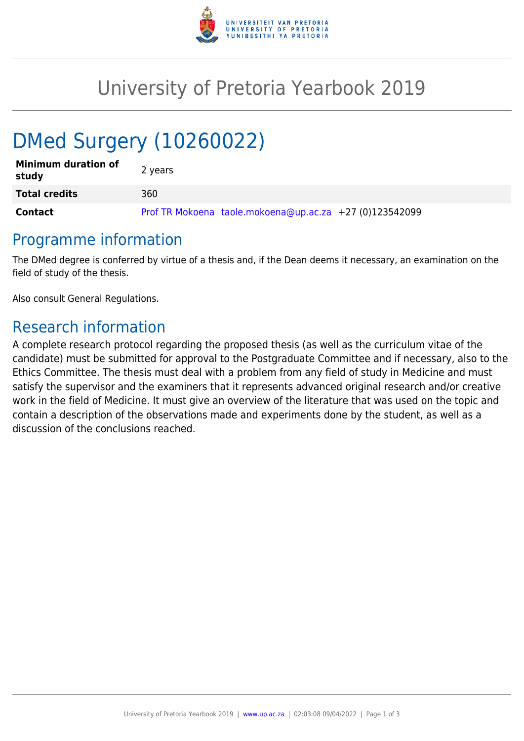

## University of Pretoria Yearbook 2019

# DMed Surgery (10260022)

| <b>Minimum duration of</b><br>study | 2 years                                                 |
|-------------------------------------|---------------------------------------------------------|
| <b>Total credits</b>                | 360                                                     |
| <b>Contact</b>                      | Prof TR Mokoena taole.mokoena@up.ac.za +27 (0)123542099 |

## Programme information

The DMed degree is conferred by virtue of a thesis and, if the Dean deems it necessary, an examination on the field of study of the thesis.

Also consult General Regulations.

## Research information

A complete research protocol regarding the proposed thesis (as well as the curriculum vitae of the candidate) must be submitted for approval to the Postgraduate Committee and if necessary, also to the Ethics Committee. The thesis must deal with a problem from any field of study in Medicine and must satisfy the supervisor and the examiners that it represents advanced original research and/or creative work in the field of Medicine. It must give an overview of the literature that was used on the topic and contain a description of the observations made and experiments done by the student, as well as a discussion of the conclusions reached.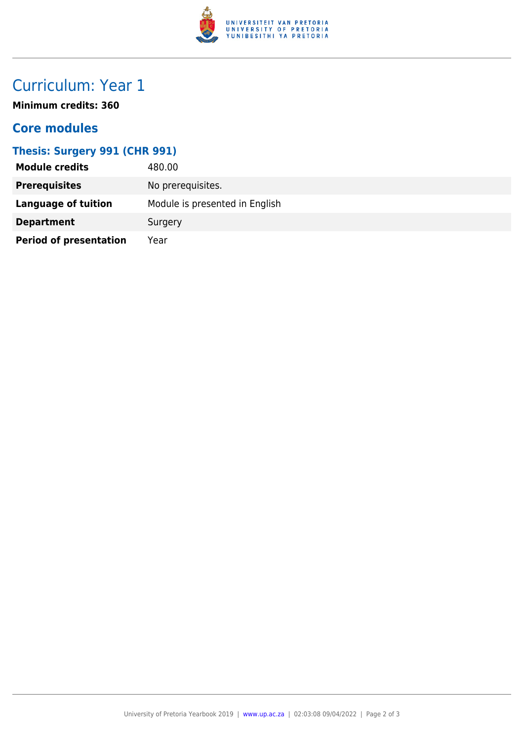

## Curriculum: Year 1

**Minimum credits: 360**

### **Core modules**

#### **Thesis: Surgery 991 (CHR 991)**

| <b>Module credits</b>         | 480.00                         |
|-------------------------------|--------------------------------|
| <b>Prerequisites</b>          | No prerequisites.              |
| Language of tuition           | Module is presented in English |
| <b>Department</b>             | Surgery                        |
| <b>Period of presentation</b> | Year                           |